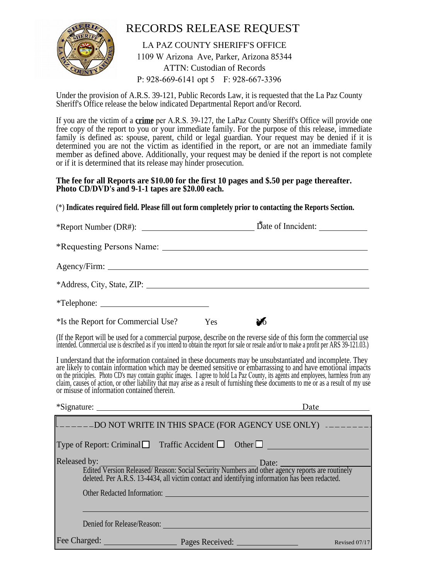

## RECORDS RELEASE REQUEST

LA PAZ COUNTY SHERIFF'S OFFICE 1109 W Arizona Ave, Parker, Arizona 85344 ATTN: Custodian of Records P: 928-669-6141 opt 5 F: 928-667-3396

Under the provision of A.R.S. 39-121, Public Records Law, it is requested that the La Paz County Sheriff's Office release the below indicated Departmental Report and/or Record.

If you are the victim of a **crime** per A.R.S. 39-127, the LaPaz County Sheriff's Office will provide one free copy of the report to you or your immediate family. For the purpose of this release, immediate family is defined as: spouse, parent, child or legal guardian. Your request may be denied if it is determined you are not the victim as identified in the report, or are not an immediate family member as defined above. Additionally, your request may be denied if the report is not complete or if it is determined that its release may hinder prosecution.

## **The fee for all Reports are \$10.00 for the first 10 pages and \$.50 per page thereafter. Photo CD/DVD's and 9-1-1 tapes are \$20.00 each.**

(\*) **Indicates required field. Please fill out form completely prior to contacting the Reports Section.**

| $*$ Report Number (DR#): $\_\_\_\_\_\_\_\_\_\_\_\_\_\_\_\_\_\_\_\_\_\_\_\_\_\_\_\_\_\_\_\_\_$ |                       |
|-----------------------------------------------------------------------------------------------|-----------------------|
| *Requesting Persons Name:                                                                     |                       |
|                                                                                               |                       |
| *Address, City, State, ZIP:                                                                   |                       |
| $*Telephone:$                                                                                 |                       |
| <sup>*</sup> Is the Report for Commercial Use?                                                | N <sub>0</sub><br>Yes |

(If the Report will be used for a commercial purpose, describe on the reverse side of this form the commercial use intended. Commercial use is described as if you intend to obtain the report for sale or resale and/or to make a profit per ARS 39-121.03.)

I understand that the information contained in these documents may be unsubstantiated and incomplete. They are likely to contain information which may be deemed sensitive or embarrassing to and have emotional impacts on the principles. Photo CD's may contain graphic images. I agree to hold La Paz County, its agents and employees, harmless from any claim, causes of action, or other liability that may arise as a result of furnishing these documents to me or as a result of my use or misuse of information contained therein.

|                                                                                                                                                                                                                                | Date          |
|--------------------------------------------------------------------------------------------------------------------------------------------------------------------------------------------------------------------------------|---------------|
|                                                                                                                                                                                                                                |               |
| Type of Report: Criminal Traffic Accident $\Box$ Other $\Box$                                                                                                                                                                  |               |
| Released by:                                                                                                                                                                                                                   | Data:         |
| d by:<br>Edited Version Released/ Reason: Social Security Numbers and other agency reports are routinely<br>deleted. Per A.R.S. 13-4434, all victim contact and identifying information has been redacted.                     |               |
| Other Redacted Information: The Contract of the Contract of the Contract of the Contract of the Contract of the Contract of the Contract of the Contract of the Contract of the Contract of the Contract of the Contract of th |               |
|                                                                                                                                                                                                                                |               |
| Denied for Release/Reason:                                                                                                                                                                                                     |               |
| Fee Charged:<br>Pages Received:                                                                                                                                                                                                | Revised 07/17 |